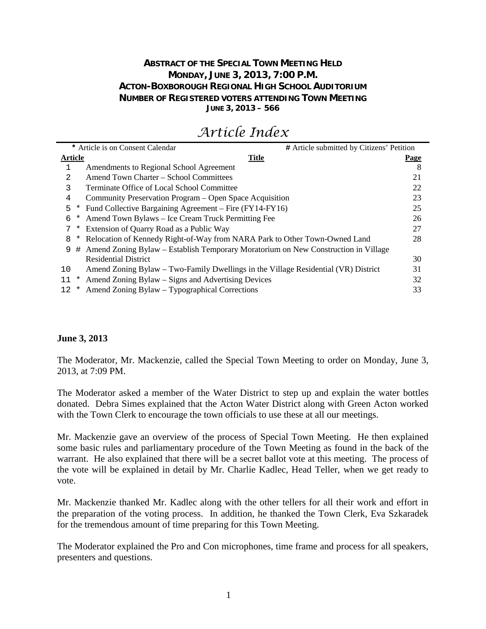# **ABSTRACT OF THE SPECIAL TOWN MEETING HELD MONDAY, JUNE 3, 2013, 7:00 P.M. ACTON-BOXBOROUGH REGIONAL HIGH SCHOOL AUDITORIUM NUMBER OF REGISTERED VOTERS ATTENDING TOWN MEETING JUNE 3, 2013 – 566**

| # Article submitted by Citizens' Petition |
|-------------------------------------------|
| <b>Page</b>                               |
| 8                                         |
| 21                                        |
| 22                                        |
| 23                                        |
| 25                                        |
| 26                                        |
| 27                                        |
| 28                                        |
|                                           |
| 30                                        |
| 31                                        |
| 32                                        |
| 33                                        |
|                                           |

# *Article Index*

#### **June 3, 2013**

The Moderator, Mr. Mackenzie, called the Special Town Meeting to order on Monday, June 3, 2013, at 7:09 PM.

The Moderator asked a member of the Water District to step up and explain the water bottles donated. Debra Simes explained that the Acton Water District along with Green Acton worked with the Town Clerk to encourage the town officials to use these at all our meetings.

Mr. Mackenzie gave an overview of the process of Special Town Meeting. He then explained some basic rules and parliamentary procedure of the Town Meeting as found in the back of the warrant. He also explained that there will be a secret ballot vote at this meeting. The process of the vote will be explained in detail by Mr. Charlie Kadlec, Head Teller, when we get ready to vote.

Mr. Mackenzie thanked Mr. Kadlec along with the other tellers for all their work and effort in the preparation of the voting process. In addition, he thanked the Town Clerk, Eva Szkaradek for the tremendous amount of time preparing for this Town Meeting.

The Moderator explained the Pro and Con microphones, time frame and process for all speakers, presenters and questions.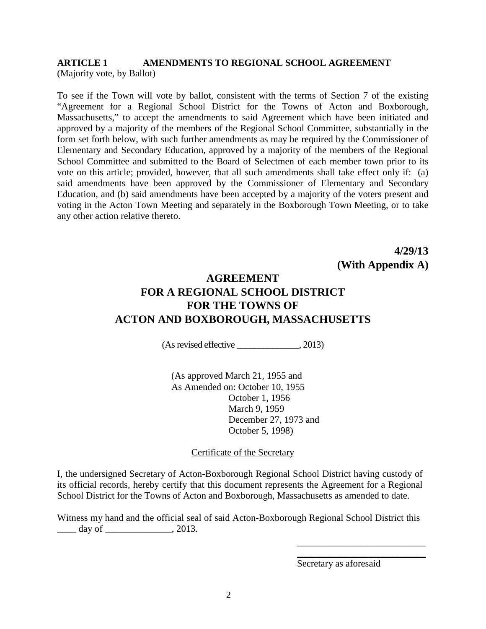#### **ARTICLE 1 AMENDMENTS TO REGIONAL SCHOOL AGREEMENT** (Majority vote, by Ballot)

To see if the Town will vote by ballot, consistent with the terms of Section 7 of the existing "Agreement for a Regional School District for the Towns of Acton and Boxborough, Massachusetts," to accept the amendments to said Agreement which have been initiated and approved by a majority of the members of the Regional School Committee, substantially in the form set forth below, with such further amendments as may be required by the Commissioner of Elementary and Secondary Education, approved by a majority of the members of the Regional School Committee and submitted to the Board of Selectmen of each member town prior to its vote on this article; provided, however, that all such amendments shall take effect only if: (a) said amendments have been approved by the Commissioner of Elementary and Secondary Education, and (b) said amendments have been accepted by a majority of the voters present and voting in the Acton Town Meeting and separately in the Boxborough Town Meeting, or to take any other action relative thereto.

> **4/29/13 (With Appendix A)**

# **AGREEMENT FOR A REGIONAL SCHOOL DISTRICT FOR THE TOWNS OF ACTON AND BOXBOROUGH, MASSACHUSETTS**

(As revised effective \_\_\_\_\_\_\_\_\_\_\_\_\_\_, 2013)

(As approved March 21, 1955 and As Amended on: October 10, 1955 October 1, 1956 March 9, 1959 December 27, 1973 and October 5, 1998)

#### Certificate of the Secretary

I, the undersigned Secretary of Acton-Boxborough Regional School District having custody of its official records, hereby certify that this document represents the Agreement for a Regional School District for the Towns of Acton and Boxborough, Massachusetts as amended to date.

Witness my hand and the official seal of said Acton-Boxborough Regional School District this  $day of$   $.2013.$ 

Secretary as aforesaid

\_\_\_\_\_\_\_\_\_\_\_\_\_\_\_\_\_\_\_\_\_\_\_\_\_\_\_ \_\_\_\_\_\_\_\_\_\_\_\_\_\_\_\_\_\_\_\_\_\_\_\_\_\_\_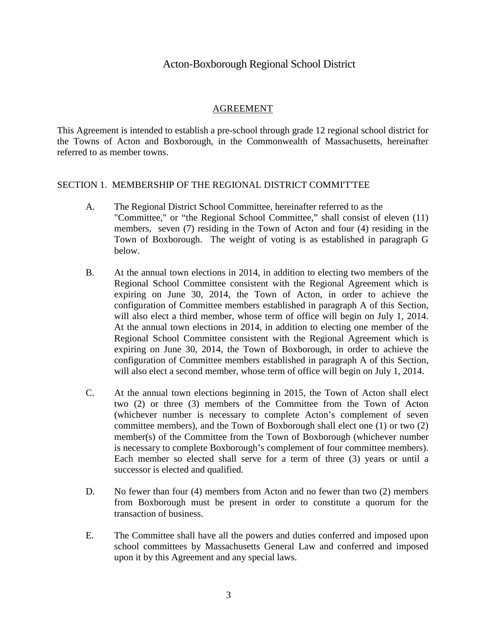# Acton-Boxborough Regional School District

#### AGREEMENT

This Agreement is intended to establish a pre-school through grade 12 regional school district for the Towns of Acton and Boxborough, in the Commonwealth of Massachusetts, hereinafter referred to as member towns.

#### SECTION 1. MEMBERSHIP OF THE REGIONAL DISTRICT COMMI'T'TEE

- A. The Regional District School Committee, hereinafter referred to as the "Committee," or "the Regional School Committee," shall consist of eleven (11) members, seven (7) residing in the Town of Acton and four (4) residing in the Town of Boxborough. The weight of voting is as established in paragraph G below.
- B. At the annual town elections in 2014, in addition to electing two members of the Regional School Committee consistent with the Regional Agreement which is expiring on June 30, 2014, the Town of Acton, in order to achieve the configuration of Committee members established in paragraph A of this Section, will also elect a third member, whose term of office will begin on July 1, 2014. At the annual town elections in 2014, in addition to electing one member of the Regional School Committee consistent with the Regional Agreement which is expiring on June 30, 2014, the Town of Boxborough, in order to achieve the configuration of Committee members established in paragraph A of this Section, will also elect a second member, whose term of office will begin on July 1, 2014.
- C. At the annual town elections beginning in 2015, the Town of Acton shall elect two (2) or three (3) members of the Committee from the Town of Acton (whichever number is necessary to complete Acton's complement of seven committee members), and the Town of Boxborough shall elect one (1) or two (2) member(s) of the Committee from the Town of Boxborough (whichever number is necessary to complete Boxborough's complement of four committee members). Each member so elected shall serve for a term of three (3) years or until a successor is elected and qualified.
- D. No fewer than four (4) members from Acton and no fewer than two (2) members from Boxborough must be present in order to constitute a quorum for the transaction of business.
- E. The Committee shall have all the powers and duties conferred and imposed upon school committees by Massachusetts General Law and conferred and imposed upon it by this Agreement and any special laws.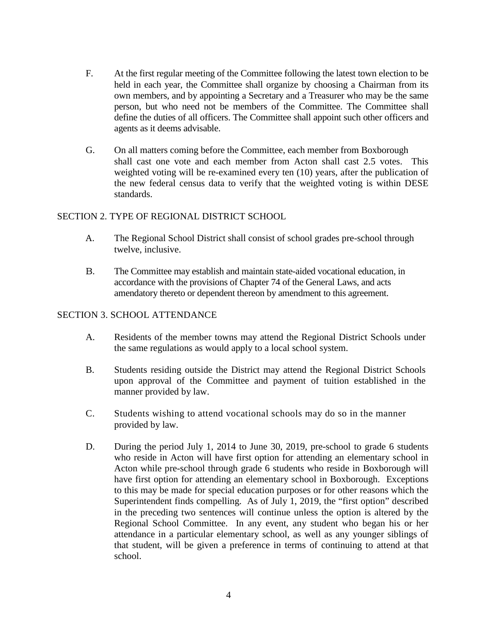- F. At the first regular meeting of the Committee following the latest town election to be held in each year, the Committee shall organize by choosing a Chairman from its own members, and by appointing a Secretary and a Treasurer who may be the same person, but who need not be members of the Committee. The Committee shall define the duties of all officers. The Committee shall appoint such other officers and agents as it deems advisable.
- G. On all matters coming before the Committee, each member from Boxborough shall cast one vote and each member from Acton shall cast 2.5 votes. This weighted voting will be re-examined every ten (10) years, after the publication of the new federal census data to verify that the weighted voting is within DESE standards.

### SECTION 2. TYPE OF REGIONAL DISTRICT SCHOOL

- A. The Regional School District shall consist of school grades pre-school through twelve, inclusive.
- B. The Committee may establish and maintain state-aided vocational education, in accordance with the provisions of Chapter 74 of the General Laws, and acts amendatory thereto or dependent thereon by amendment to this agreement.

#### SECTION 3. SCHOOL ATTENDANCE

- A. Residents of the member towns may attend the Regional District Schools under the same regulations as would apply to a local school system.
- B. Students residing outside the District may attend the Regional District Schools upon approval of the Committee and payment of tuition established in the manner provided by law.
- C. Students wishing to attend vocational schools may do so in the manner provided by law.
- D. During the period July 1, 2014 to June 30, 2019, pre-school to grade 6 students who reside in Acton will have first option for attending an elementary school in Acton while pre-school through grade 6 students who reside in Boxborough will have first option for attending an elementary school in Boxborough. Exceptions to this may be made for special education purposes or for other reasons which the Superintendent finds compelling. As of July 1, 2019, the "first option" described in the preceding two sentences will continue unless the option is altered by the Regional School Committee. In any event, any student who began his or her attendance in a particular elementary school, as well as any younger siblings of that student, will be given a preference in terms of continuing to attend at that school.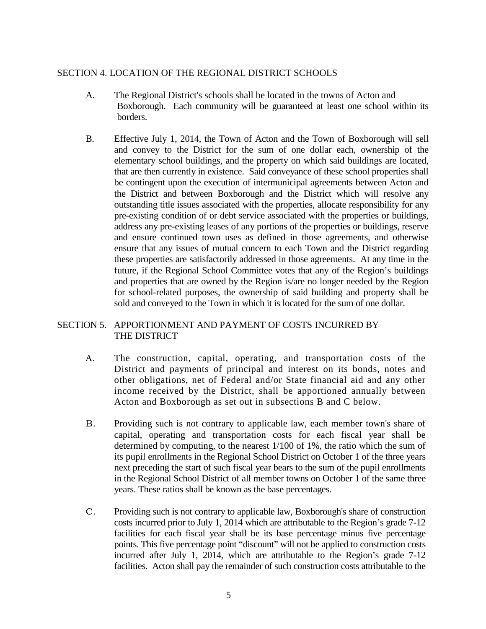# SECTION 4. LOCATION OF THE REGIONAL DISTRICT SCHOOLS

- A. The Regional District's schools shall be located in the towns of Acton and Boxborough. Each community will be guaranteed at least one school within its borders.
- B. Effective July 1, 2014, the Town of Acton and the Town of Boxborough will sell and convey to the District for the sum of one dollar each, ownership of the elementary school buildings, and the property on which said buildings are located, that are then currently in existence. Said conveyance of these school properties shall be contingent upon the execution of intermunicipal agreements between Acton and the District and between Boxborough and the District which will resolve any outstanding title issues associated with the properties, allocate responsibility for any pre-existing condition of or debt service associated with the properties or buildings, address any pre-existing leases of any portions of the properties or buildings, reserve and ensure continued town uses as defined in those agreements, and otherwise ensure that any issues of mutual concern to each Town and the District regarding these properties are satisfactorily addressed in those agreements. At any time in the future, if the Regional School Committee votes that any of the Region's buildings and properties that are owned by the Region is/are no longer needed by the Region for school-related purposes, the ownership of said building and property shall be sold and conveyed to the Town in which it is located for the sum of one dollar.

# SECTION 5. APPORTIONMENT AND PAYMENT OF COSTS INCURRED BY THE DISTRICT

- A. The construction, capital, operating, and transportation costs of the District and payments of principal and interest on its bonds, notes and other obligations, net of Federal and/or State financial aid and any other income received by the District, shall be apportioned annually between Acton and Boxborough as set out in subsections B and C below.
- B. Providing such is not contrary to applicable law, each member town's share of capital, operating and transportation costs for each fiscal year shall be determined by computing, to the nearest 1/100 of 1%, the ratio which the sum of its pupil enrollments in the Regional School District on October 1 of the three years next preceding the start of such fiscal year bears to the sum of the pupil enrollments in the Regional School District of all member towns on October 1 of the same three years. These ratios shall be known as the base percentages.
- C. Providing such is not contrary to applicable law, Boxborough's share of construction costs incurred prior to July 1, 2014 which are attributable to the Region's grade 7-12 facilities for each fiscal year shall be its base percentage minus five percentage points. This five percentage point "discount" will not be applied to construction costs incurred after July 1, 2014, which are attributable to the Region's grade 7-12 facilities. Acton shall pay the remainder of such construction costs attributable to the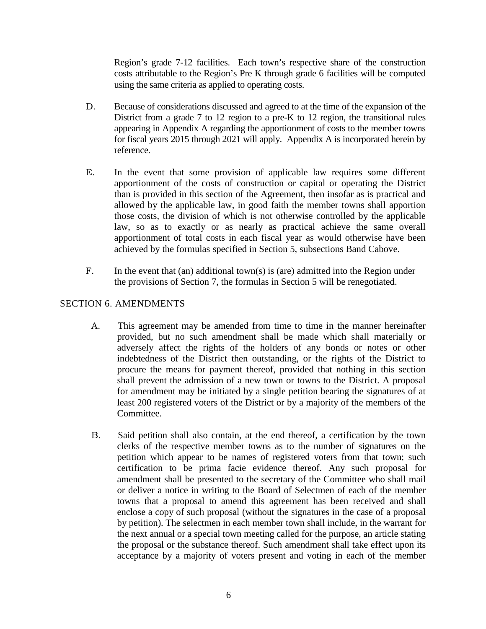Region's grade 7-12 facilities. Each town's respective share of the construction costs attributable to the Region's Pre K through grade 6 facilities will be computed using the same criteria as applied to operating costs.

- D. Because of considerations discussed and agreed to at the time of the expansion of the District from a grade 7 to 12 region to a pre-K to 12 region, the transitional rules appearing in Appendix A regarding the apportionment of costs to the member towns for fiscal years 2015 through 2021 will apply. Appendix A is incorporated herein by reference.
- E. In the event that some provision of applicable law requires some different apportionment of the costs of construction or capital or operating the District than is provided in this section of the Agreement, then insofar as is practical and allowed by the applicable law, in good faith the member towns shall apportion those costs, the division of which is not otherwise controlled by the applicable law, so as to exactly or as nearly as practical achieve the same overall apportionment of total costs in each fiscal year as would otherwise have been achieved by the formulas specified in Section 5, subsections Band Cabove.
- F. In the event that (an) additional town(s) is (are) admitted into the Region under the provisions of Section 7, the formulas in Section 5 will be renegotiated.

# SECTION 6. AMENDMENTS

- A. This agreement may be amended from time to time in the manner hereinafter provided, but no such amendment shall be made which shall materially or adversely affect the rights of the holders of any bonds or notes or other indebtedness of the District then outstanding, or the rights of the District to procure the means for payment thereof, provided that nothing in this section shall prevent the admission of a new town or towns to the District. A proposal for amendment may be initiated by a single petition bearing the signatures of at least 200 registered voters of the District or by a majority of the members of the Committee.
- B. Said petition shall also contain, at the end thereof, a certification by the town clerks of the respective member towns as to the number of signatures on the petition which appear to be names of registered voters from that town; such certification to be prima facie evidence thereof. Any such proposal for amendment shall be presented to the secretary of the Committee who shall mail or deliver a notice in writing to the Board of Selectmen of each of the member towns that a proposal to amend this agreement has been received and shall enclose a copy of such proposal (without the signatures in the case of a proposal by petition). The selectmen in each member town shall include, in the warrant for the next annual or a special town meeting called for the purpose, an article stating the proposal or the substance thereof. Such amendment shall take effect upon its acceptance by a majority of voters present and voting in each of the member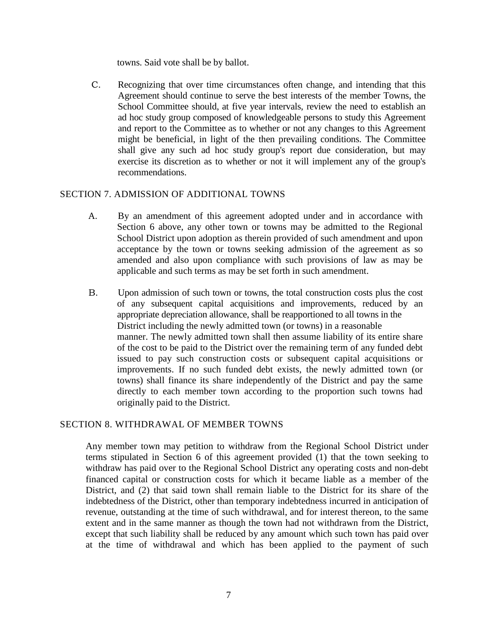towns. Said vote shall be by ballot.

C. Recognizing that over time circumstances often change, and intending that this Agreement should continue to serve the best interests of the member Towns, the School Committee should, at five year intervals, review the need to establish an ad hoc study group composed of knowledgeable persons to study this Agreement and report to the Committee as to whether or not any changes to this Agreement might be beneficial, in light of the then prevailing conditions. The Committee shall give any such ad hoc study group's report due consideration, but may exercise its discretion as to whether or not it will implement any of the group's recommendations.

### SECTION 7. ADMISSION OF ADDITIONAL TOWNS

- A. By an amendment of this agreement adopted under and in accordance with Section 6 above, any other town or towns may be admitted to the Regional School District upon adoption as therein provided of such amendment and upon acceptance by the town or towns seeking admission of the agreement as so amended and also upon compliance with such provisions of law as may be applicable and such terms as may be set forth in such amendment.
- B. Upon admission of such town or towns, the total construction costs plus the cost of any subsequent capital acquisitions and improvements, reduced by an appropriate depreciation allowance, shall be reapportioned to all towns in the District including the newly admitted town (or towns) in a reasonable manner. The newly admitted town shall then assume liability of its entire share of the cost to be paid to the District over the remaining term of any funded debt issued to pay such construction costs or subsequent capital acquisitions or improvements. If no such funded debt exists, the newly admitted town (or towns) shall finance its share independently of the District and pay the same directly to each member town according to the proportion such towns had originally paid to the District.

# SECTION 8. WITHDRAWAL OF MEMBER TOWNS

Any member town may petition to withdraw from the Regional School District under terms stipulated in Section 6 of this agreement provided (1) that the town seeking to withdraw has paid over to the Regional School District any operating costs and non-debt financed capital or construction costs for which it became liable as a member of the District, and (2) that said town shall remain liable to the District for its share of the indebtedness of the District, other than temporary indebtedness incurred in anticipation of revenue, outstanding at the time of such withdrawal, and for interest thereon, to the same extent and in the same manner as though the town had not withdrawn from the District, except that such liability shall be reduced by any amount which such town has paid over at the time of withdrawal and which has been applied to the payment of such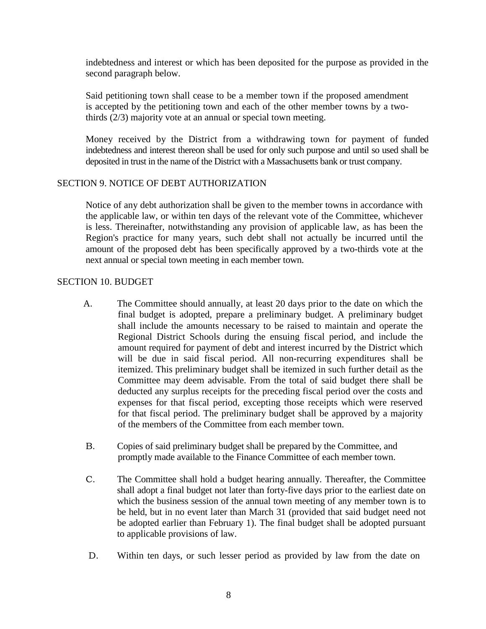indebtedness and interest or which has been deposited for the purpose as provided in the second paragraph below.

Said petitioning town shall cease to be a member town if the proposed amendment is accepted by the petitioning town and each of the other member towns by a twothirds (2/3) majority vote at an annual or special town meeting.

Money received by the District from a withdrawing town for payment of funded indebtedness and interest thereon shall be used for only such purpose and until so used shall be deposited in trust in the name of the District with a Massachusetts bank or trust company.

#### SECTION 9. NOTICE OF DEBT AUTHORIZATION

Notice of any debt authorization shall be given to the member towns in accordance with the applicable law, or within ten days of the relevant vote of the Committee, whichever is less. Thereinafter, notwithstanding any provision of applicable law, as has been the Region's practice for many years, such debt shall not actually be incurred until the amount of the proposed debt has been specifically approved by a two-thirds vote at the next annual or special town meeting in each member town.

#### SECTION 10. BUDGET

- A. The Committee should annually, at least 20 days prior to the date on which the final budget is adopted, prepare a preliminary budget. A preliminary budget shall include the amounts necessary to be raised to maintain and operate the Regional District Schools during the ensuing fiscal period, and include the amount required for payment of debt and interest incurred by the District which will be due in said fiscal period. All non-recurring expenditures shall be itemized. This preliminary budget shall be itemized in such further detail as the Committee may deem advisable. From the total of said budget there shall be deducted any surplus receipts for the preceding fiscal period over the costs and expenses for that fiscal period, excepting those receipts which were reserved for that fiscal period. The preliminary budget shall be approved by a majority of the members of the Committee from each member town.
- B. Copies of said preliminary budget shall be prepared by the Committee, and promptly made available to the Finance Committee of each member town.
- C. The Committee shall hold a budget hearing annually. Thereafter, the Committee shall adopt a final budget not later than forty-five days prior to the earliest date on which the business session of the annual town meeting of any member town is to be held, but in no event later than March 31 (provided that said budget need not be adopted earlier than February 1). The final budget shall be adopted pursuant to applicable provisions of law.
- D. Within ten days, or such lesser period as provided by law from the date on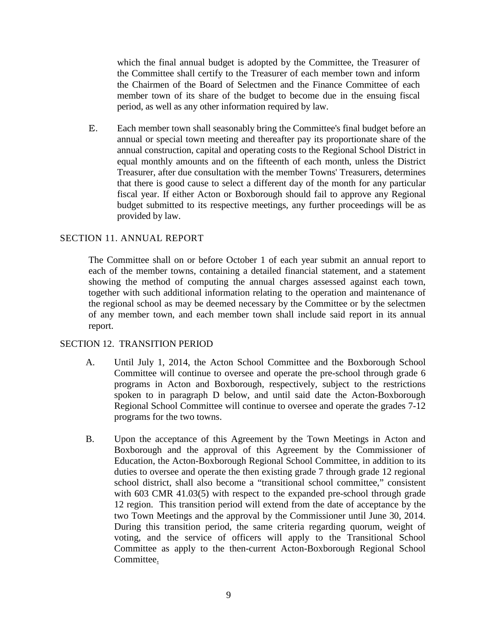which the final annual budget is adopted by the Committee, the Treasurer of the Committee shall certify to the Treasurer of each member town and inform the Chairmen of the Board of Selectmen and the Finance Committee of each member town of its share of the budget to become due in the ensuing fiscal period, as well as any other information required by law.

E. Each member town shall seasonably bring the Committee's final budget before an annual or special town meeting and thereafter pay its proportionate share of the annual construction, capital and operating costs to the Regional School District in equal monthly amounts and on the fifteenth of each month, unless the District Treasurer, after due consultation with the member Towns' Treasurers, determines that there is good cause to select a different day of the month for any particular fiscal year. If either Acton or Boxborough should fail to approve any Regional budget submitted to its respective meetings, any further proceedings will be as provided by law.

### SECTION 11. ANNUAL REPORT

The Committee shall on or before October 1 of each year submit an annual report to each of the member towns, containing a detailed financial statement, and a statement showing the method of computing the annual charges assessed against each town, together with such additional information relating to the operation and maintenance of the regional school as may be deemed necessary by the Committee or by the selectmen of any member town, and each member town shall include said report in its annual report.

#### SECTION 12. TRANSITION PERIOD

- A. Until July 1, 2014, the Acton School Committee and the Boxborough School Committee will continue to oversee and operate the pre-school through grade 6 programs in Acton and Boxborough, respectively, subject to the restrictions spoken to in paragraph D below, and until said date the Acton-Boxborough Regional School Committee will continue to oversee and operate the grades 7-12 programs for the two towns.
- B. Upon the acceptance of this Agreement by the Town Meetings in Acton and Boxborough and the approval of this Agreement by the Commissioner of Education, the Acton-Boxborough Regional School Committee, in addition to its duties to oversee and operate the then existing grade 7 through grade 12 regional school district, shall also become a "transitional school committee," consistent with 603 CMR 41.03(5) with respect to the expanded pre-school through grade 12 region. This transition period will extend from the date of acceptance by the two Town Meetings and the approval by the Commissioner until June 30, 2014. During this transition period, the same criteria regarding quorum, weight of voting, and the service of officers will apply to the Transitional School Committee as apply to the then-current Acton-Boxborough Regional School Committee.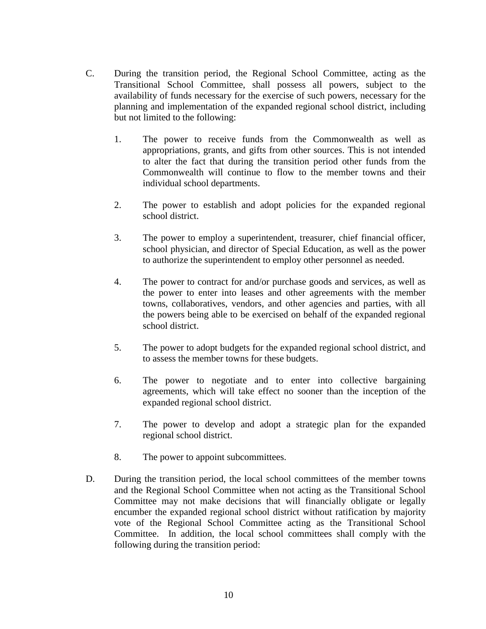- C. During the transition period, the Regional School Committee, acting as the Transitional School Committee, shall possess all powers, subject to the availability of funds necessary for the exercise of such powers, necessary for the planning and implementation of the expanded regional school district, including but not limited to the following:
	- 1. The power to receive funds from the Commonwealth as well as appropriations, grants, and gifts from other sources. This is not intended to alter the fact that during the transition period other funds from the Commonwealth will continue to flow to the member towns and their individual school departments.
	- 2. The power to establish and adopt policies for the expanded regional school district.
	- 3. The power to employ a superintendent, treasurer, chief financial officer, school physician, and director of Special Education, as well as the power to authorize the superintendent to employ other personnel as needed.
	- 4. The power to contract for and/or purchase goods and services, as well as the power to enter into leases and other agreements with the member towns, collaboratives, vendors, and other agencies and parties, with all the powers being able to be exercised on behalf of the expanded regional school district.
	- 5. The power to adopt budgets for the expanded regional school district, and to assess the member towns for these budgets.
	- 6. The power to negotiate and to enter into collective bargaining agreements, which will take effect no sooner than the inception of the expanded regional school district.
	- 7. The power to develop and adopt a strategic plan for the expanded regional school district.
	- 8. The power to appoint subcommittees.
- D. During the transition period, the local school committees of the member towns and the Regional School Committee when not acting as the Transitional School Committee may not make decisions that will financially obligate or legally encumber the expanded regional school district without ratification by majority vote of the Regional School Committee acting as the Transitional School Committee. In addition, the local school committees shall comply with the following during the transition period: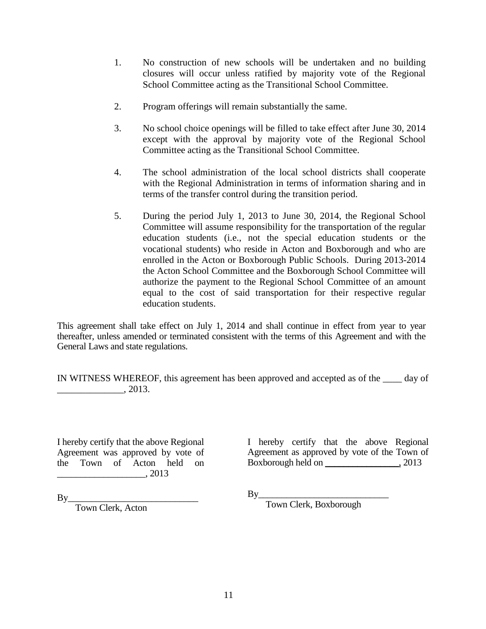- 1. No construction of new schools will be undertaken and no building closures will occur unless ratified by majority vote of the Regional School Committee acting as the Transitional School Committee.
- 2. Program offerings will remain substantially the same.
- 3. No school choice openings will be filled to take effect after June 30, 2014 except with the approval by majority vote of the Regional School Committee acting as the Transitional School Committee.
- 4. The school administration of the local school districts shall cooperate with the Regional Administration in terms of information sharing and in terms of the transfer control during the transition period.
- 5. During the period July 1, 2013 to June 30, 2014, the Regional School Committee will assume responsibility for the transportation of the regular education students (i.e., not the special education students or the vocational students) who reside in Acton and Boxborough and who are enrolled in the Acton or Boxborough Public Schools. During 2013-2014 the Acton School Committee and the Boxborough School Committee will authorize the payment to the Regional School Committee of an amount equal to the cost of said transportation for their respective regular education students.

This agreement shall take effect on July 1, 2014 and shall continue in effect from year to year thereafter, unless amended or terminated consistent with the terms of this Agreement and with the General Laws and state regulations.

IN WITNESS WHEREOF, this agreement has been approved and accepted as of the \_\_\_\_ day of  $\,$  . 2013.

I hereby certify that the above Regional Agreement was approved by vote of the Town of Acton held on \_\_\_\_\_\_\_\_\_\_\_\_\_\_\_\_\_\_\_, 2013

I hereby certify that the above Regional Agreement as approved by vote of the Town of Boxborough held on \_\_\_\_\_\_\_\_\_\_\_\_\_\_\_\_, 2013

 $By$ 

Town Clerk, Boxborough

 $By_$ 

Town Clerk, Acton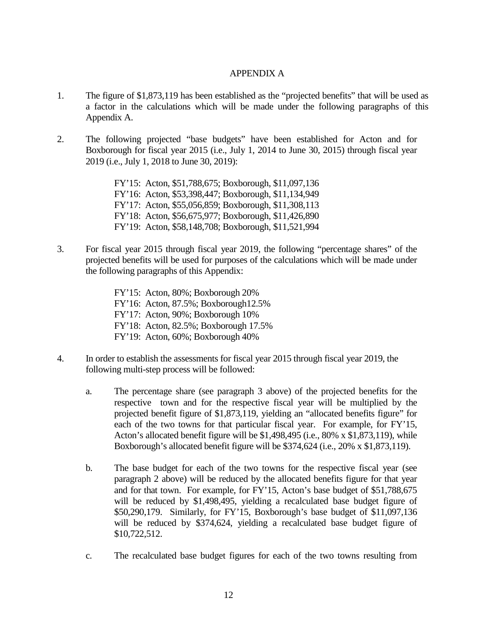#### APPENDIX A

- 1. The figure of \$1,873,119 has been established as the "projected benefits" that will be used as a factor in the calculations which will be made under the following paragraphs of this Appendix A.
- 2. The following projected "base budgets" have been established for Acton and for Boxborough for fiscal year 2015 (i.e., July 1, 2014 to June 30, 2015) through fiscal year 2019 (i.e., July 1, 2018 to June 30, 2019):

FY'15: Acton, \$51,788,675; Boxborough, \$11,097,136 FY'16: Acton, \$53,398,447; Boxborough, \$11,134,949 FY'17: Acton, \$55,056,859; Boxborough, \$11,308,113 FY'18: Acton, \$56,675,977; Boxborough, \$11,426,890 FY'19: Acton, \$58,148,708; Boxborough, \$11,521,994

- 3. For fiscal year 2015 through fiscal year 2019, the following "percentage shares" of the projected benefits will be used for purposes of the calculations which will be made under the following paragraphs of this Appendix:
	- FY'15: Acton, 80%; Boxborough 20% FY'16: Acton, 87.5%; Boxborough12.5% FY'17: Acton, 90%; Boxborough 10% FY'18: Acton, 82.5%; Boxborough 17.5% FY'19: Acton, 60%; Boxborough 40%
- 4. In order to establish the assessments for fiscal year 2015 through fiscal year 2019, the following multi-step process will be followed:
	- a. The percentage share (see paragraph 3 above) of the projected benefits for the respective town and for the respective fiscal year will be multiplied by the projected benefit figure of \$1,873,119, yielding an "allocated benefits figure" for each of the two towns for that particular fiscal year. For example, for FY'15, Acton's allocated benefit figure will be \$1,498,495 (i.e., 80% x \$1,873,119), while Boxborough's allocated benefit figure will be \$374,624 (i.e., 20% x \$1,873,119).
	- b. The base budget for each of the two towns for the respective fiscal year (see paragraph 2 above) will be reduced by the allocated benefits figure for that year and for that town. For example, for FY'15, Acton's base budget of \$51,788,675 will be reduced by \$1,498,495, yielding a recalculated base budget figure of \$50,290,179. Similarly, for FY'15, Boxborough's base budget of \$11,097,136 will be reduced by \$374,624, yielding a recalculated base budget figure of \$10,722,512.
	- c. The recalculated base budget figures for each of the two towns resulting from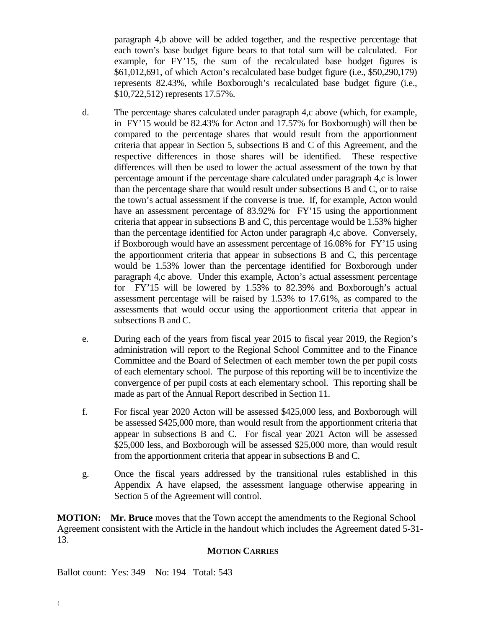paragraph 4,b above will be added together, and the respective percentage that each town's base budget figure bears to that total sum will be calculated. For example, for FY'15, the sum of the recalculated base budget figures is \$61,012,691, of which Acton's recalculated base budget figure (i.e., \$50,290,179) represents 82.43%, while Boxborough's recalculated base budget figure (i.e., \$10,722,512) represents 17.57%.

- d. The percentage shares calculated under paragraph 4,c above (which, for example, in FY'15 would be 82.43% for Acton and 17.57% for Boxborough) will then be compared to the percentage shares that would result from the apportionment criteria that appear in Section 5, subsections B and C of this Agreement, and the respective differences in those shares will be identified. These respective differences will then be used to lower the actual assessment of the town by that percentage amount if the percentage share calculated under paragraph 4,c is lower than the percentage share that would result under subsections B and C, or to raise the town's actual assessment if the converse is true. If, for example, Acton would have an assessment percentage of 83.92% for FY'15 using the apportionment criteria that appear in subsections B and C, this percentage would be 1.53% higher than the percentage identified for Acton under paragraph 4,c above. Conversely, if Boxborough would have an assessment percentage of 16.08% for FY'15 using the apportionment criteria that appear in subsections B and C, this percentage would be 1.53% lower than the percentage identified for Boxborough under paragraph 4,c above. Under this example, Acton's actual assessment percentage for FY'15 will be lowered by 1.53% to 82.39% and Boxborough's actual assessment percentage will be raised by 1.53% to 17.61%, as compared to the assessments that would occur using the apportionment criteria that appear in subsections B and C.
- e. During each of the years from fiscal year 2015 to fiscal year 2019, the Region's administration will report to the Regional School Committee and to the Finance Committee and the Board of Selectmen of each member town the per pupil costs of each elementary school. The purpose of this reporting will be to incentivize the convergence of per pupil costs at each elementary school. This reporting shall be made as part of the Annual Report described in Section 11.
- f. For fiscal year 2020 Acton will be assessed \$425,000 less, and Boxborough will be assessed \$425,000 more, than would result from the apportionment criteria that appear in subsections B and C. For fiscal year 2021 Acton will be assessed \$25,000 less, and Boxborough will be assessed \$25,000 more, than would result from the apportionment criteria that appear in subsections B and C.
- g. Once the fiscal years addressed by the transitional rules established in this Appendix A have elapsed, the assessment language otherwise appearing in Section 5 of the Agreement will control.

**MOTION:** Mr. Bruce moves that the Town accept the amendments to the Regional School Agreement consistent with the Article in the handout which includes the Agreement dated 5-31- 13.

#### **MOTION CARRIES**

Ballot count: Yes: 349 No: 194 Total: 543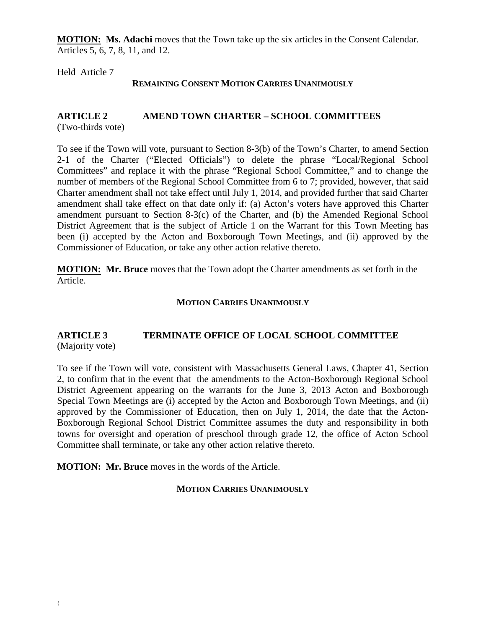**MOTION: Ms. Adachi** moves that the Town take up the six articles in the Consent Calendar. Articles 5, 6, 7, 8, 11, and 12.

Held Article 7

#### **REMAINING CONSENT MOTION CARRIES UNANIMOUSLY**

#### **ARTICLE 2 AMEND TOWN CHARTER – SCHOOL COMMITTEES** (Two-thirds vote)

To see if the Town will vote, pursuant to Section 8-3(b) of the Town's Charter, to amend Section 2-1 of the Charter ("Elected Officials") to delete the phrase "Local/Regional School Committees" and replace it with the phrase "Regional School Committee," and to change the number of members of the Regional School Committee from 6 to 7; provided, however, that said Charter amendment shall not take effect until July 1, 2014, and provided further that said Charter amendment shall take effect on that date only if: (a) Acton's voters have approved this Charter amendment pursuant to Section 8-3(c) of the Charter, and (b) the Amended Regional School District Agreement that is the subject of Article 1 on the Warrant for this Town Meeting has been (i) accepted by the Acton and Boxborough Town Meetings, and (ii) approved by the Commissioner of Education, or take any other action relative thereto.

**MOTION: Mr. Bruce** moves that the Town adopt the Charter amendments as set forth in the Article.

#### **MOTION CARRIES UNANIMOUSLY**

### **ARTICLE 3 TERMINATE OFFICE OF LOCAL SCHOOL COMMITTEE** (Majority vote)

To see if the Town will vote, consistent with Massachusetts General Laws, Chapter 41, Section 2, to confirm that in the event that the amendments to the Acton-Boxborough Regional School District Agreement appearing on the warrants for the June 3, 2013 Acton and Boxborough Special Town Meetings are (i) accepted by the Acton and Boxborough Town Meetings, and (ii) approved by the Commissioner of Education, then on July 1, 2014, the date that the Acton-Boxborough Regional School District Committee assumes the duty and responsibility in both towns for oversight and operation of preschool through grade 12, the office of Acton School Committee shall terminate, or take any other action relative thereto.

**MOTION: Mr. Bruce** moves in the words of the Article.

#### **MOTION CARRIES UNANIMOUSLY**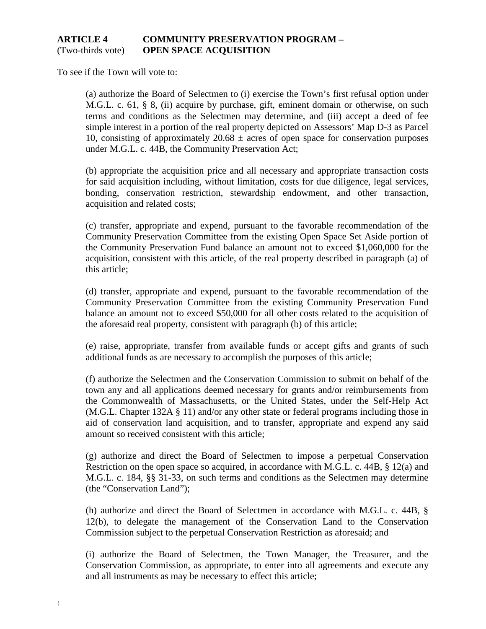### **ARTICLE 4 COMMUNITY PRESERVATION PROGRAM –** (Two-thirds vote) **OPEN SPACE ACQUISITION**

To see if the Town will vote to:

(a) authorize the Board of Selectmen to (i) exercise the Town's first refusal option under M.G.L. c. 61, § 8, (ii) acquire by purchase, gift, eminent domain or otherwise, on such terms and conditions as the Selectmen may determine, and (iii) accept a deed of fee simple interest in a portion of the real property depicted on Assessors' Map D-3 as Parcel 10, consisting of approximately  $20.68 \pm \text{acres}$  of open space for conservation purposes under M.G.L. c. 44B, the Community Preservation Act;

(b) appropriate the acquisition price and all necessary and appropriate transaction costs for said acquisition including, without limitation, costs for due diligence, legal services, bonding, conservation restriction, stewardship endowment, and other transaction, acquisition and related costs;

(c) transfer, appropriate and expend, pursuant to the favorable recommendation of the Community Preservation Committee from the existing Open Space Set Aside portion of the Community Preservation Fund balance an amount not to exceed \$1,060,000 for the acquisition, consistent with this article, of the real property described in paragraph (a) of this article;

(d) transfer, appropriate and expend, pursuant to the favorable recommendation of the Community Preservation Committee from the existing Community Preservation Fund balance an amount not to exceed \$50,000 for all other costs related to the acquisition of the aforesaid real property, consistent with paragraph (b) of this article;

(e) raise, appropriate, transfer from available funds or accept gifts and grants of such additional funds as are necessary to accomplish the purposes of this article;

(f) authorize the Selectmen and the Conservation Commission to submit on behalf of the town any and all applications deemed necessary for grants and/or reimbursements from the Commonwealth of Massachusetts, or the United States, under the Self-Help Act (M.G.L. Chapter 132A § 11) and/or any other state or federal programs including those in aid of conservation land acquisition, and to transfer, appropriate and expend any said amount so received consistent with this article;

(g) authorize and direct the Board of Selectmen to impose a perpetual Conservation Restriction on the open space so acquired, in accordance with M.G.L. c. 44B, § 12(a) and M.G.L. c. 184, §§ 31-33, on such terms and conditions as the Selectmen may determine (the "Conservation Land");

(h) authorize and direct the Board of Selectmen in accordance with M.G.L. c. 44B, § 12(b), to delegate the management of the Conservation Land to the Conservation Commission subject to the perpetual Conservation Restriction as aforesaid; and

(i) authorize the Board of Selectmen, the Town Manager, the Treasurer, and the Conservation Commission, as appropriate, to enter into all agreements and execute any and all instruments as may be necessary to effect this article;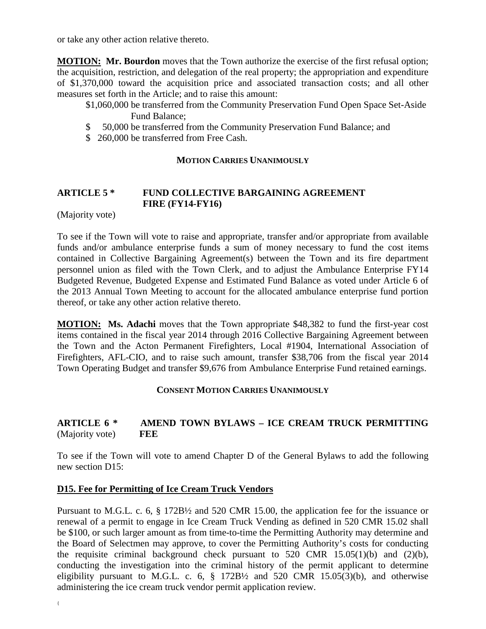or take any other action relative thereto.

**MOTION:** Mr. Bourdon moves that the Town authorize the exercise of the first refusal option; the acquisition, restriction, and delegation of the real property; the appropriation and expenditure of \$1,370,000 toward the acquisition price and associated transaction costs; and all other measures set forth in the Article; and to raise this amount:

- \$1,060,000 be transferred from the Community Preservation Fund Open Space Set-Aside Fund Balance;
- \$ 50,000 be transferred from the Community Preservation Fund Balance; and
- \$ 260,000 be transferred from Free Cash.

#### **MOTION CARRIES UNANIMOUSLY**

# **ARTICLE 5 \* FUND COLLECTIVE BARGAINING AGREEMENT FIRE (FY14-FY16)**

(Majority vote)

To see if the Town will vote to raise and appropriate, transfer and/or appropriate from available funds and/or ambulance enterprise funds a sum of money necessary to fund the cost items contained in Collective Bargaining Agreement(s) between the Town and its fire department personnel union as filed with the Town Clerk, and to adjust the Ambulance Enterprise FY14 Budgeted Revenue, Budgeted Expense and Estimated Fund Balance as voted under Article 6 of the 2013 Annual Town Meeting to account for the allocated ambulance enterprise fund portion thereof, or take any other action relative thereto.

**MOTION: Ms. Adachi** moves that the Town appropriate \$48,382 to fund the first-year cost items contained in the fiscal year 2014 through 2016 Collective Bargaining Agreement between the Town and the Acton Permanent Firefighters, Local #1904, International Association of Firefighters, AFL-CIO, and to raise such amount, transfer \$38,706 from the fiscal year 2014 Town Operating Budget and transfer \$9,676 from Ambulance Enterprise Fund retained earnings.

#### **CONSENT MOTION CARRIES UNANIMOUSLY**

### **ARTICLE 6 \* AMEND TOWN BYLAWS – ICE CREAM TRUCK PERMITTING** (Majority vote) **FEE**

To see if the Town will vote to amend Chapter D of the General Bylaws to add the following new section D15:

# **D15. Fee for Permitting of Ice Cream Truck Vendors**

Pursuant to M.G.L. c. 6, § 172B½ and 520 CMR 15.00, the application fee for the issuance or renewal of a permit to engage in Ice Cream Truck Vending as defined in 520 CMR 15.02 shall be \$100, or such larger amount as from time-to-time the Permitting Authority may determine and the Board of Selectmen may approve, to cover the Permitting Authority's costs for conducting the requisite criminal background check pursuant to  $520$  CMR  $15.05(1)(b)$  and  $(2)(b)$ , conducting the investigation into the criminal history of the permit applicant to determine eligibility pursuant to M.G.L. c. 6,  $\S$  172B $\frac{1}{2}$  and 520 CMR 15.05(3)(b), and otherwise administering the ice cream truck vendor permit application review.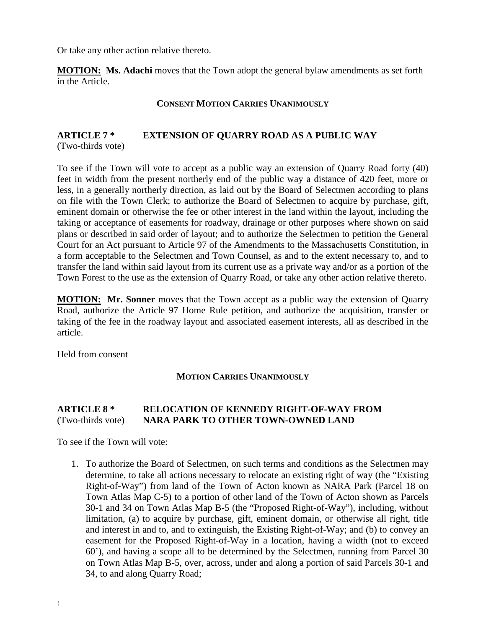Or take any other action relative thereto.

**MOTION: Ms. Adachi** moves that the Town adopt the general bylaw amendments as set forth in the Article.

#### **CONSENT MOTION CARRIES UNANIMOUSLY**

# **ARTICLE 7 \* EXTENSION OF QUARRY ROAD AS A PUBLIC WAY**  (Two-thirds vote)

To see if the Town will vote to accept as a public way an extension of Quarry Road forty (40) feet in width from the present northerly end of the public way a distance of 420 feet, more or less, in a generally northerly direction, as laid out by the Board of Selectmen according to plans on file with the Town Clerk; to authorize the Board of Selectmen to acquire by purchase, gift, eminent domain or otherwise the fee or other interest in the land within the layout, including the taking or acceptance of easements for roadway, drainage or other purposes where shown on said plans or described in said order of layout; and to authorize the Selectmen to petition the General Court for an Act pursuant to Article 97 of the Amendments to the Massachusetts Constitution, in a form acceptable to the Selectmen and Town Counsel, as and to the extent necessary to, and to transfer the land within said layout from its current use as a private way and/or as a portion of the Town Forest to the use as the extension of Quarry Road, or take any other action relative thereto.

**MOTION:** Mr. Sonner moves that the Town accept as a public way the extension of Quarry Road, authorize the Article 97 Home Rule petition, and authorize the acquisition, transfer or taking of the fee in the roadway layout and associated easement interests, all as described in the article.

Held from consent

#### **MOTION CARRIES UNANIMOUSLY**

# **ARTICLE 8 \* RELOCATION OF KENNEDY RIGHT-OF-WAY FROM** (Two-thirds vote) **NARA PARK TO OTHER TOWN-OWNED LAND**

To see if the Town will vote:

1. To authorize the Board of Selectmen, on such terms and conditions as the Selectmen may determine, to take all actions necessary to relocate an existing right of way (the "Existing Right-of-Way") from land of the Town of Acton known as NARA Park (Parcel 18 on Town Atlas Map C-5) to a portion of other land of the Town of Acton shown as Parcels 30-1 and 34 on Town Atlas Map B-5 (the "Proposed Right-of-Way"), including, without limitation, (a) to acquire by purchase, gift, eminent domain, or otherwise all right, title and interest in and to, and to extinguish, the Existing Right-of-Way; and (b) to convey an easement for the Proposed Right-of-Way in a location, having a width (not to exceed 60'), and having a scope all to be determined by the Selectmen, running from Parcel 30 on Town Atlas Map B-5, over, across, under and along a portion of said Parcels 30-1 and 34, to and along Quarry Road;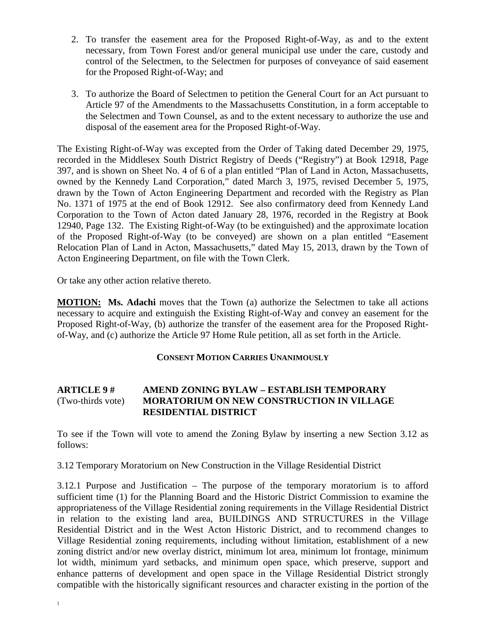- 2. To transfer the easement area for the Proposed Right-of-Way, as and to the extent necessary, from Town Forest and/or general municipal use under the care, custody and control of the Selectmen, to the Selectmen for purposes of conveyance of said easement for the Proposed Right-of-Way; and
- 3. To authorize the Board of Selectmen to petition the General Court for an Act pursuant to Article 97 of the Amendments to the Massachusetts Constitution, in a form acceptable to the Selectmen and Town Counsel, as and to the extent necessary to authorize the use and disposal of the easement area for the Proposed Right-of-Way.

The Existing Right-of-Way was excepted from the Order of Taking dated December 29, 1975, recorded in the Middlesex South District Registry of Deeds ("Registry") at Book 12918, Page 397, and is shown on Sheet No. 4 of 6 of a plan entitled "Plan of Land in Acton, Massachusetts, owned by the Kennedy Land Corporation," dated March 3, 1975, revised December 5, 1975, drawn by the Town of Acton Engineering Department and recorded with the Registry as Plan No. 1371 of 1975 at the end of Book 12912. See also confirmatory deed from Kennedy Land Corporation to the Town of Acton dated January 28, 1976, recorded in the Registry at Book 12940, Page 132. The Existing Right-of-Way (to be extinguished) and the approximate location of the Proposed Right-of-Way (to be conveyed) are shown on a plan entitled "Easement Relocation Plan of Land in Acton, Massachusetts," dated May 15, 2013, drawn by the Town of Acton Engineering Department, on file with the Town Clerk.

Or take any other action relative thereto.

**MOTION:** Ms. Adachi moves that the Town (a) authorize the Selectmen to take all actions necessary to acquire and extinguish the Existing Right-of-Way and convey an easement for the Proposed Right-of-Way, (b) authorize the transfer of the easement area for the Proposed Rightof-Way, and (c) authorize the Article 97 Home Rule petition, all as set forth in the Article.

#### **CONSENT MOTION CARRIES UNANIMOUSLY**

### **ARTICLE 9 # AMEND ZONING BYLAW – ESTABLISH TEMPORARY**  (Two-thirds vote) **MORATORIUM ON NEW CONSTRUCTION IN VILLAGE RESIDENTIAL DISTRICT**

To see if the Town will vote to amend the Zoning Bylaw by inserting a new Section 3.12 as follows:

3.12 Temporary Moratorium on New Construction in the Village Residential District

3.12.1 Purpose and Justification – The purpose of the temporary moratorium is to afford sufficient time (1) for the Planning Board and the Historic District Commission to examine the appropriateness of the Village Residential zoning requirements in the Village Residential District in relation to the existing land area, BUILDINGS AND STRUCTURES in the Village Residential District and in the West Acton Historic District, and to recommend changes to Village Residential zoning requirements, including without limitation, establishment of a new zoning district and/or new overlay district, minimum lot area, minimum lot frontage, minimum lot width, minimum yard setbacks, and minimum open space, which preserve, support and enhance patterns of development and open space in the Village Residential District strongly compatible with the historically significant resources and character existing in the portion of the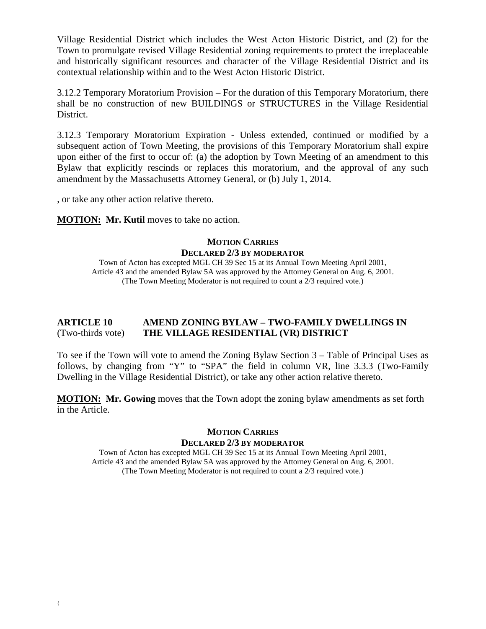Village Residential District which includes the West Acton Historic District, and (2) for the Town to promulgate revised Village Residential zoning requirements to protect the irreplaceable and historically significant resources and character of the Village Residential District and its contextual relationship within and to the West Acton Historic District.

3.12.2 Temporary Moratorium Provision – For the duration of this Temporary Moratorium, there shall be no construction of new BUILDINGS or STRUCTURES in the Village Residential District.

3.12.3 Temporary Moratorium Expiration - Unless extended, continued or modified by a subsequent action of Town Meeting, the provisions of this Temporary Moratorium shall expire upon either of the first to occur of: (a) the adoption by Town Meeting of an amendment to this Bylaw that explicitly rescinds or replaces this moratorium, and the approval of any such amendment by the Massachusetts Attorney General, or (b) July 1, 2014.

, or take any other action relative thereto.

**MOTION: Mr. Kutil moves to take no action.** 

### **MOTION CARRIES DECLARED 2/3 BY MODERATOR**

Town of Acton has excepted MGL CH 39 Sec 15 at its Annual Town Meeting April 2001, Article 43 and the amended Bylaw 5A was approved by the Attorney General on Aug. 6, 2001. (The Town Meeting Moderator is not required to count a 2/3 required vote.)

### **ARTICLE 10 AMEND ZONING BYLAW – TWO-FAMILY DWELLINGS IN**  (Two-thirds vote) **THE VILLAGE RESIDENTIAL (VR) DISTRICT**

To see if the Town will vote to amend the Zoning Bylaw Section 3 – Table of Principal Uses as follows, by changing from "Y" to "SPA" the field in column VR, line 3.3.3 (Two-Family Dwelling in the Village Residential District), or take any other action relative thereto.

**MOTION: Mr. Gowing** moves that the Town adopt the zoning bylaw amendments as set forth in the Article.

# **MOTION CARRIES DECLARED 2/3 BY MODERATOR**

Town of Acton has excepted MGL CH 39 Sec 15 at its Annual Town Meeting April 2001, Article 43 and the amended Bylaw 5A was approved by the Attorney General on Aug. 6, 2001. (The Town Meeting Moderator is not required to count a 2/3 required vote.)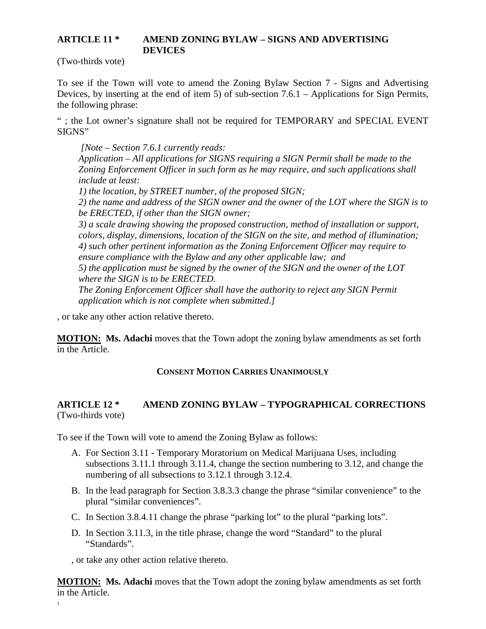#### **ARTICLE 11 \* AMEND ZONING BYLAW – SIGNS AND ADVERTISING DEVICES**

(Two-thirds vote)

To see if the Town will vote to amend the Zoning Bylaw Section 7 - Signs and Advertising Devices, by inserting at the end of item 5) of sub-section 7.6.1 – Applications for Sign Permits, the following phrase:

" ; the Lot owner's signature shall not be required for TEMPORARY and SPECIAL EVENT SIGNS"

*[Note – Section 7.6.1 currently reads: Application – All applications for SIGNS requiring a SIGN Permit shall be made to the Zoning Enforcement Officer in such form as he may require, and such applications shall include at least: 1) the location, by STREET number, of the proposed SIGN;* 

*2) the name and address of the SIGN owner and the owner of the LOT where the SIGN is to be ERECTED, if other than the SIGN owner;* 

*3) a scale drawing showing the proposed construction, method of installation or support, colors, display, dimensions, location of the SIGN on the site, and method of illumination; 4) such other pertinent information as the Zoning Enforcement Officer may require to ensure compliance with the Bylaw and any other applicable law; and* 

*5) the application must be signed by the owner of the SIGN and the owner of the LOT where the SIGN is to be ERECTED.* 

*The Zoning Enforcement Officer shall have the authority to reject any SIGN Permit application which is not complete when submitted.]*

, or take any other action relative thereto.

**MOTION:** Ms. Adachi moves that the Town adopt the zoning bylaw amendments as set forth in the Article.

# **CONSENT MOTION CARRIES UNANIMOUSLY**

# **ARTICLE 12 \* AMEND ZONING BYLAW – TYPOGRAPHICAL CORRECTIONS** (Two-thirds vote)

To see if the Town will vote to amend the Zoning Bylaw as follows:

- A. For Section 3.11 Temporary Moratorium on Medical Marijuana Uses, including subsections 3.11.1 through 3.11.4, change the section numbering to 3.12, and change the numbering of all subsections to 3.12.1 through 3.12.4.
- B. In the lead paragraph for Section 3.8.3.3 change the phrase "similar convenience" to the plural "similar conveniences".
- C. In Section 3.8.4.11 change the phrase "parking lot" to the plural "parking lots".
- D. In Section 3.11.3, in the title phrase, change the word "Standard" to the plural "Standards".

, or take any other action relative thereto.

**MOTION:** Ms. Adachi moves that the Town adopt the zoning bylaw amendments as set forth in the Article.